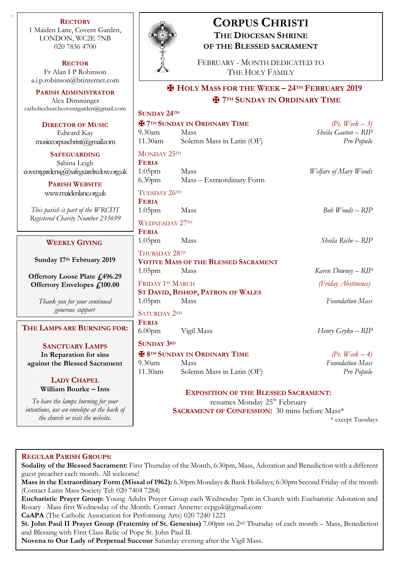**RECTORY** 1 Maiden Lane, Covent Garden, LONDON, WC2E 7NB 020 7836 4700

.

**RECTOR** Fr Alan I P Robinson [a.i.p.robinson@btinternet.com](mailto:a.i.p.robinson@btinternet.com)

**PARISH ADMINISTRATOR** Alex Dimminger [catholicchurchcoventgarden@gmail.com](mailto:catholicchurchcoventgarden@gmail.com)

**DIRECTOR OF MUSIC** Edward Kay  $musicconvschnsti@gmal.$ com

**SAFEGUARDING** Sabina Leigh  $covering and ensg@safeguardredow.$ 

> **PARISH WEBSITE** [www.maidenlane.org.uk](http://www.maidenlane.org.uk/)

*This parish is part of the WRC* **Registered Charity Number 233** 

#### **WEEKLY GIVING**

**Sunday 17<sup>th</sup> February 20** 

**Offertory Loose Plate £49 Offertory Envelopes £100** 

> *Thank you for your continued generous support*

 $THE$  **LAMPS ARE BURNING** 

**SANCTUARY LAMPS In Reparation for sins against the Blessed Sacran** 

#### **LADY CHAPEL William Bourke – Ints**

To have the lamps burning for y *intentions, use an envelope at the b the church or visit the website.*



# **CORPUS CHRISTI THE DIOCESAN SHRINE OF THE BLESSED SACRAMENT**

FEBRUARY - MONTH DEDICATED TO THE HOLY FAMILY

## ✠ **HOLY MASS FOR THE WEEK – 24TH FEBRUARY 2019** ✠ **7TH SUNDAY IN ORDINARY TIME**

|           | <b>SUNDAY 24TH</b>                                                                                                                              |                                          |                           |
|-----------|-------------------------------------------------------------------------------------------------------------------------------------------------|------------------------------------------|---------------------------|
|           | <b>H</b> 7 <sup>TH</sup> SUNDAY IN ORDINARY TIME                                                                                                |                                          | (Ps. Week $-3$ )          |
|           | 9.30am                                                                                                                                          | Mass                                     | Sheila Gaeton - RIP       |
| m         | 11.30am                                                                                                                                         | Solemn Mass in Latin (OF)                | Pro Populo                |
|           | MONDAY 25TH                                                                                                                                     |                                          |                           |
|           | <b>FERIA</b>                                                                                                                                    |                                          |                           |
| org.uk    | 1.05 <sub>pm</sub>                                                                                                                              | Mass                                     | Welfare of Mary Woods     |
|           | 6.30 <sub>pm</sub>                                                                                                                              | Mass - Extraordinary Form                |                           |
|           | TUESDAY 26TH                                                                                                                                    |                                          |                           |
|           | <b>FERIA</b>                                                                                                                                    |                                          |                           |
| ΈT<br>699 | 1.05 <sub>pm</sub>                                                                                                                              | Mass                                     | $Bob$ <i>Woods</i> $ RIP$ |
|           | <b>WEDNESDAY 27TH</b>                                                                                                                           |                                          |                           |
|           | <b>FERIA</b>                                                                                                                                    |                                          |                           |
|           | 1.05 <sub>pm</sub>                                                                                                                              | Mass                                     | Sheila Riche – RIP        |
| 19        | THURSDAY 28TH                                                                                                                                   |                                          |                           |
|           | <b>VOTIVE MASS OF THE BLESSED SACRAMENT</b>                                                                                                     |                                          |                           |
| 6.29      | 1.05 <sub>pm</sub>                                                                                                                              | Mass                                     | Karen Downey – RIP        |
| 00.       | FRIDAY 1ST MARCH                                                                                                                                |                                          | (Friday Abstinence)       |
|           |                                                                                                                                                 | <b>ST DAVID, BISHOP, PATRON OF WALES</b> |                           |
| ł         | 1.05 <sub>pm</sub>                                                                                                                              | Mass                                     | <b>Foundation Mass</b>    |
|           | <b>SATURDAY 2ND</b>                                                                                                                             |                                          |                           |
| FOR:      | <b>FERIA</b>                                                                                                                                    |                                          |                           |
|           | 6.00 <sub>pm</sub>                                                                                                                              | Vigil Mass                               | Henry Gryko – RIP         |
|           | <b>SUNDAY 3RD</b>                                                                                                                               |                                          |                           |
|           | <b>E 8TH SUNDAY IN ORDINARY TIME</b>                                                                                                            |                                          | (Ps. Week $-4$ )          |
| nent      | $9.30$ am<br>11.30am                                                                                                                            | Mass                                     | <b>Foundation Mass</b>    |
|           |                                                                                                                                                 | Solemn Mass in Latin (OF)                | Pro Populo                |
|           |                                                                                                                                                 |                                          |                           |
| our       | <b>EXPOSITION OF THE BLESSED SACRAMENT:</b><br>resumes Monday 25 <sup>th</sup> February<br><b>SACRAMENT OF CONFESSION:</b> 30 mins before Mass* |                                          |                           |
| ack of    |                                                                                                                                                 |                                          |                           |
|           |                                                                                                                                                 |                                          |                           |

\* except Tuesdays

#### **REGULAR PARISH GROUPS:**

**Sodality of the Blessed Sacrament:** First Thursday of the Month, 6:30pm, Mass, Adoration and Benediction with a different guest preacher each month. All welcome!

**Mass in the Extraordinary Form (Missal of 1962):** 6.30pm Mondays & Bank Holidays; 6:30pm Second Friday of the month (Contact Latin Mass Society Tel: 020 7404 7284)

**Eucharistic Prayer Group:** Young Adults Prayer Group each Wednesday 7pm in Church with Eucharistic Adoration and Rosary - Mass first Wednesday of the Month. Contact Annette: ccpguk@gmail.com

**CaAPA** (The Catholic Association for Performing Arts) 020 7240 1221

**St. John Paul II Prayer Group (Fraternity of St. Genesius)** 7.00pm on 2nd Thursday of each month – Mass, Benediction and Blessing with First Class Relic of Pope St. John Paul II.

**Novena to Our Lady of Perpetual Succour** Saturday evening after the Vigil Mass.